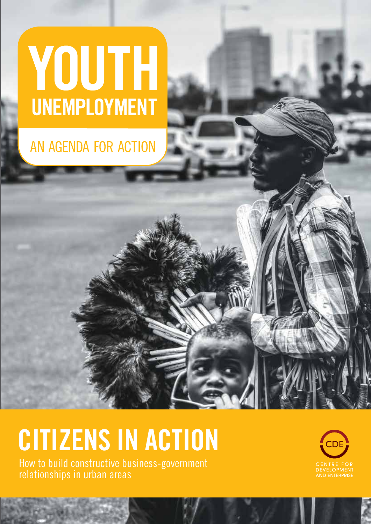# YOUTH UNEMPLOYMENT

### AN AGENDA FOR ACTION

## **CITIZENS IN ACTION**

How to build constructive business-government relationships in urban areas

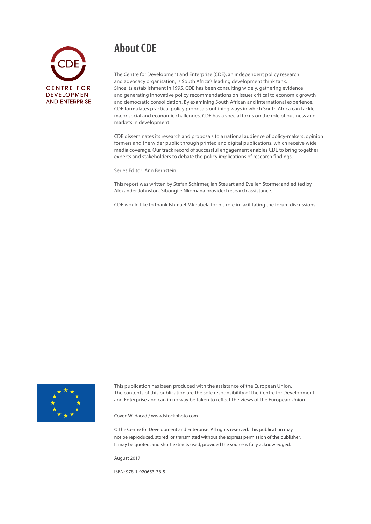### **About CDE**



The Centre for Development and Enterprise (CDE), an independent policy research and advocacy organisation, is South Africa's leading development think tank. Since its establishment in 1995, CDE has been consulting widely, gathering evidence and generating innovative policy recommendations on issues critical to economic growth and democratic consolidation. By examining South African and international experience, CDE formulates practical policy proposals outlining ways in which South Africa can tackle major social and economic challenges. CDE has a special focus on the role of business and markets in development.

CDE disseminates its research and proposals to a national audience of policy-makers, opinion formers and the wider public through printed and digital publications, which receive wide media coverage. Our track record of successful engagement enables CDE to bring together experts and stakeholders to debate the policy implications of research findings.

Series Editor: Ann Bernstein

This report was written by Stefan Schirmer, Ian Steuart and Evelien Storme; and edited by Alexander Johnston. Sibongile Nkomana provided research assistance.

CDE would like to thank Ishmael Mkhabela for his role in facilitating the forum discussions.



This publication has been produced with the assistance of the European Union. The contents of this publication are the sole responsibility of the Centre for Development and Enterprise and can in no way be taken to reflect the views of the European Union.

Cover: Wildacad / www.istockphoto.com

© The Centre for Development and Enterprise. All rights reserved. This publication may not be reproduced, stored, or transmitted without the express permission of the publisher. It may be quoted, and short extracts used, provided the source is fully acknowledged.

August 2017

ISBN: 978-1-920653-38-5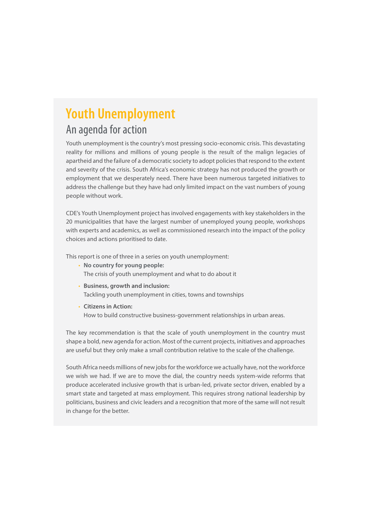### **Youth Unemployment**

### An agenda for action

Youth unemployment is the country's most pressing socio-economic crisis. This devastating reality for millions and millions of young people is the result of the malign legacies of apartheid and the failure of a democratic society to adopt policies that respond to the extent and severity of the crisis. South Africa's economic strategy has not produced the growth or employment that we desperately need. There have been numerous targeted initiatives to address the challenge but they have had only limited impact on the vast numbers of young people without work.

CDE's Youth Unemployment project has involved engagements with key stakeholders in the 20 municipalities that have the largest number of unemployed young people, workshops with experts and academics, as well as commissioned research into the impact of the policy choices and actions prioritised to date.

This report is one of three in a series on youth unemployment:

- **No country for young people:**  The crisis of youth unemployment and what to do about it
- • **Business, growth and inclusion:**  Tackling youth unemployment in cities, towns and townships
- **Citizens in Action:**  How to build constructive business-government relationships in urban areas.

The key recommendation is that the scale of youth unemployment in the country must shape a bold, new agenda for action. Most of the current projects, initiatives and approaches are useful but they only make a small contribution relative to the scale of the challenge.

South Africa needs millions of new jobs for the workforce we actually have, not the workforce we wish we had. If we are to move the dial, the country needs system-wide reforms that produce accelerated inclusive growth that is urban-led, private sector driven, enabled by a smart state and targeted at mass employment. This requires strong national leadership by politicians, business and civic leaders and a recognition that more of the same will not result in change for the better.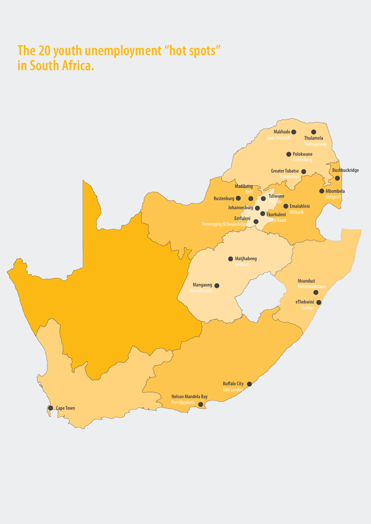### **The 20 youth unemployment "hot spots" in South Africa.**

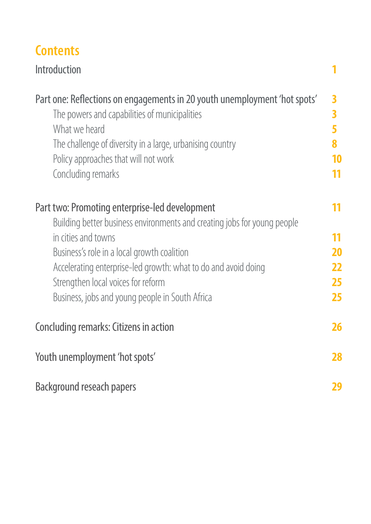### **Contents**

| <b>Introduction</b>                                                                                                                                                                                                                                                    |                |
|------------------------------------------------------------------------------------------------------------------------------------------------------------------------------------------------------------------------------------------------------------------------|----------------|
| Part one: Reflections on engagements in 20 youth unemployment 'hot spots'<br>The powers and capabilities of municipalities<br>What we heard<br>The challenge of diversity in a large, urbanising country<br>Policy approaches that will not work<br>Concluding remarks | 3<br>3<br>10   |
| Part two: Promoting enterprise-led development<br>Building better business environments and creating jobs for young people<br>in cities and towns                                                                                                                      | 11<br>11<br>20 |
| Business's role in a local growth coalition<br>Accelerating enterprise-led growth: what to do and avoid doing                                                                                                                                                          | 22             |
| Strengthen local voices for reform                                                                                                                                                                                                                                     | 25             |
| Business, jobs and young people in South Africa                                                                                                                                                                                                                        | 25             |
| Concluding remarks: Citizens in action                                                                                                                                                                                                                                 | 26             |
| Youth unemployment 'hot spots'                                                                                                                                                                                                                                         | 28             |
| <b>Background reseach papers</b>                                                                                                                                                                                                                                       | 29             |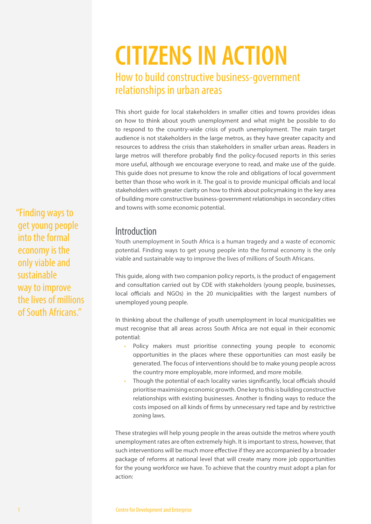### **CITIZENS IN ACTION**  How to build constructive business-government relationships in urban areas

This short guide for local stakeholders in smaller cities and towns provides ideas on how to think about youth unemployment and what might be possible to do to respond to the country-wide crisis of youth unemployment. The main target audience is not stakeholders in the large metros, as they have greater capacity and resources to address the crisis than stakeholders in smaller urban areas. Readers in large metros will therefore probably find the policy-focused reports in this series more useful, although we encourage everyone to read, and make use of the guide. This guide does not presume to know the role and obligations of local government better than those who work in it. The goal is to provide municipal officials and local stakeholders with greater clarity on how to think about policymaking in the key area of building more constructive business-government relationships in secondary cities and towns with some economic potential.

#### Introduction

Youth unemployment in South Africa is a human tragedy and a waste of economic potential. Finding ways to get young people into the formal economy is the only viable and sustainable way to improve the lives of millions of South Africans.

This guide, along with two companion policy reports, is the product of engagement and consultation carried out by CDE with stakeholders (young people, businesses, local officials and NGOs) in the 20 municipalities with the largest numbers of unemployed young people.

In thinking about the challenge of youth unemployment in local municipalities we must recognise that all areas across South Africa are not equal in their economic potential:

- Policy makers must prioritise connecting young people to economic opportunities in the places where these opportunities can most easily be generated. The focus of interventions should be to make young people across the country more employable, more informed, and more mobile.
- Though the potential of each locality varies significantly, local officials should prioritise maximising economic growth. One key to this is building constructive relationships with existing businesses. Another is finding ways to reduce the costs imposed on all kinds of firms by unnecessary red tape and by restrictive zoning laws.

These strategies will help young people in the areas outside the metros where youth unemployment rates are often extremely high. It is important to stress, however, that such interventions will be much more effective if they are accompanied by a broader package of reforms at national level that will create many more job opportunities for the young workforce we have. To achieve that the country must adopt a plan for action:

"Finding ways to get young people into the formal economy is the only viable and sustainable way to improve the lives of millions of South Africans."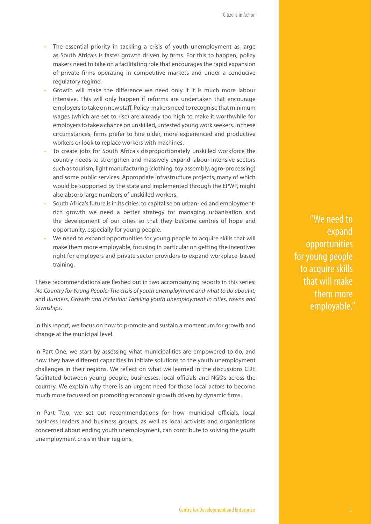- The essential priority in tackling a crisis of youth unemployment as large as South Africa's is faster growth driven by firms. For this to happen, policy makers need to take on a facilitating role that encourages the rapid expansion of private firms operating in competitive markets and under a conducive regulatory regime.
- Growth will make the difference we need only if it is much more labour intensive. This will only happen if reforms are undertaken that encourage employers to take on new staff. Policy-makers need to recognise that minimum wages (which are set to rise) are already too high to make it worthwhile for employers to take a chance on unskilled, untested young work seekers. In these circumstances, firms prefer to hire older, more experienced and productive workers or look to replace workers with machines.
- To create jobs for South Africa's disproportionately unskilled workforce the country needs to strengthen and massively expand labour-intensive sectors such as tourism, light manufacturing (clothing, toy assembly, agro-processing) and some public services. Appropriate infrastructure projects, many of which would be supported by the state and implemented through the EPWP, might also absorb large numbers of unskilled workers.
- South Africa's future is in its cities: to capitalise on urban-led and employmentrich growth we need a better strategy for managing urbanisation and the development of our cities so that they become centres of hope and opportunity, especially for young people.
- We need to expand opportunities for young people to acquire skills that will make them more employable, focusing in particular on getting the incentives right for employers and private sector providers to expand workplace-based training.

These recommendations are fleshed out in two accompanying reports in this series: *No Country for Young People: The crisis of youth unemployment and what to do about it;*  and *Business, Growth and Inclusion: Tackling youth unemployment in cities, towns and townships.* 

In this report, we focus on how to promote and sustain a momentum for growth and change at the municipal level.

In Part One, we start by assessing what municipalities are empowered to do, and how they have different capacities to initiate solutions to the youth unemployment challenges in their regions. We reflect on what we learned in the discussions CDE facilitated between young people, businesses, local officials and NGOs across the country. We explain why there is an urgent need for these local actors to become much more focussed on promoting economic growth driven by dynamic firms.

In Part Two, we set out recommendations for how municipal officials, local business leaders and business groups, as well as local activists and organisations concerned about ending youth unemployment, can contribute to solving the youth unemployment crisis in their regions.

"We need to expand opportunities for young people to acquire skills that will make them more employable."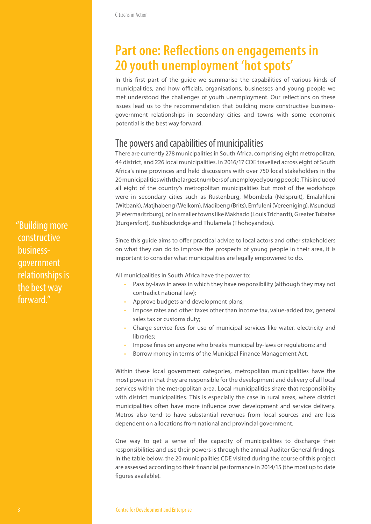### **Part one: Reflections on engagements in 20 youth unemployment 'hot spots'**

In this first part of the guide we summarise the capabilities of various kinds of municipalities, and how officials, organisations, businesses and young people we met understood the challenges of youth unemployment. Our reflections on these issues lead us to the recommendation that building more constructive businessgovernment relationships in secondary cities and towns with some economic potential is the best way forward.

#### The powers and capabilities of municipalities

There are currently 278 municipalities in South Africa, comprising eight metropolitan, 44 district, and 226 local municipalities. In 2016/17 CDE travelled across eight of South Africa's nine provinces and held discussions with over 750 local stakeholders in the 20 municipalities with the largest numbers of unemployed young people. This included all eight of the country's metropolitan municipalities but most of the workshops were in secondary cities such as Rustenburg, Mbombela (Nelspruit), Emalahleni (Witbank), Matjhabeng (Welkom), Madibeng (Brits), Emfuleni (Vereeniging), Msunduzi (Pietermaritzburg), or in smaller towns like Makhado (Louis Trichardt), Greater Tubatse (Burgersfort), Bushbuckridge and Thulamela (Thohoyandou).

Since this guide aims to offer practical advice to local actors and other stakeholders on what they can do to improve the prospects of young people in their area, it is important to consider what municipalities are legally empowered to do.

All municipalities in South Africa have the power to:

- Pass by-laws in areas in which they have responsibility (although they may not contradict national law);
- Approve budgets and development plans;
- Impose rates and other taxes other than income tax, value-added tax, general sales tax or customs duty;
- Charge service fees for use of municipal services like water, electricity and libraries;
- Impose fines on anyone who breaks municipal by-laws or regulations; and
- Borrow money in terms of the Municipal Finance Management Act.

Within these local government categories, metropolitan municipalities have the most power in that they are responsible for the development and delivery of all local services within the metropolitan area. Local municipalities share that responsibility with district municipalities. This is especially the case in rural areas, where district municipalities often have more influence over development and service delivery. Metros also tend to have substantial revenues from local sources and are less dependent on allocations from national and provincial government.

One way to get a sense of the capacity of municipalities to discharge their responsibilities and use their powers is through the annual Auditor General findings. In the table below, the 20 municipalities CDE visited during the course of this project are assessed according to their financial performance in 2014/15 (the most up to date figures available).

"Building more constructive businessgovernment relationships is the best way forward."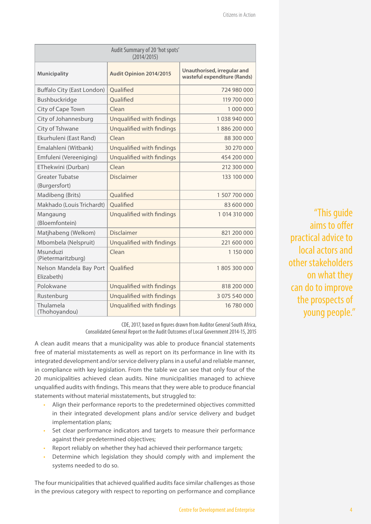| Audit Summary of 20 'hot spots'<br>(2014/2015) |                           |                                                             |  |  |  |  |  |
|------------------------------------------------|---------------------------|-------------------------------------------------------------|--|--|--|--|--|
| Municipality                                   | Audit Opinion 2014/2015   | Unauthorised, irregular and<br>wasteful expenditure (Rands) |  |  |  |  |  |
| Buffalo City (East London)                     | Qualified                 | 724 980 000                                                 |  |  |  |  |  |
| Bushbuckridge                                  | Oualified                 | 119 700 000                                                 |  |  |  |  |  |
| City of Cape Town                              | Clean                     | 1 000 000                                                   |  |  |  |  |  |
| City of Johannesburg                           | Unqualified with findings | 1038940000                                                  |  |  |  |  |  |
| City of Tshwane                                | Unqualified with findings | 1886200000                                                  |  |  |  |  |  |
| Ekurhuleni (East Rand)                         | Clean                     | 88 300 000                                                  |  |  |  |  |  |
| Emalahleni (Witbank)                           | Unqualified with findings | 30 270 000                                                  |  |  |  |  |  |
| Emfuleni (Vereeniging)                         | Unqualified with findings | 454 200 000                                                 |  |  |  |  |  |
| EThekwini (Durban)                             | Clean                     | 212 300 000                                                 |  |  |  |  |  |
| <b>Greater Tubatse</b><br>(Burgersfort)        | <b>Disclaimer</b>         | 133 100 000                                                 |  |  |  |  |  |
| Madibeng (Brits)                               | Qualified                 | 1 507 700 000                                               |  |  |  |  |  |
| Makhado (Louis Trichardt)                      | Oualified                 | 83 600 000                                                  |  |  |  |  |  |
| Mangaung<br>(Bloemfontein)                     | Unqualified with findings | 1 014 310 000                                               |  |  |  |  |  |
| Matjhabeng (Welkom)                            | <b>Disclaimer</b>         | 821 200 000                                                 |  |  |  |  |  |
| Mbombela (Nelspruit)                           | Unqualified with findings | 221 600 000                                                 |  |  |  |  |  |
| Msunduzi<br>(Pietermaritzburg)                 | Clean                     | 1 150 000                                                   |  |  |  |  |  |
| Nelson Mandela Bay Port<br>Elizabeth)          | Qualified                 | 1805300000                                                  |  |  |  |  |  |
| Polokwane                                      | Unqualified with findings | 818 200 000                                                 |  |  |  |  |  |
| Rustenburg                                     | Unqualified with findings | 3 075 540 000                                               |  |  |  |  |  |
| Thulamela<br>(Thohoyandou)                     | Unqualified with findings | 16 780 000                                                  |  |  |  |  |  |

"This guide aims to offer practical advice to local actors and other stakeholders on what they can do to improve the prospects of young people."

CDE, 2017, based on figures drawn from Auditor General South Africa, Consolidated General Report on the Audit Outcomes of Local Government 2014-15, 2015

A clean audit means that a municipality was able to produce financial statements free of material misstatements as well as report on its performance in line with its integrated development and/or service delivery plans in a useful and reliable manner, in compliance with key legislation. From the table we can see that only four of the 20 municipalities achieved clean audits. Nine municipalities managed to achieve unqualified audits with findings. This means that they were able to produce financial statements without material misstatements, but struggled to:

- Align their performance reports to the predetermined objectives committed in their integrated development plans and/or service delivery and budget implementation plans;
- Set clear performance indicators and targets to measure their performance against their predetermined objectives;
- Report reliably on whether they had achieved their performance targets;
- Determine which legislation they should comply with and implement the systems needed to do so.

The four municipalities that achieved qualified audits face similar challenges as those in the previous category with respect to reporting on performance and compliance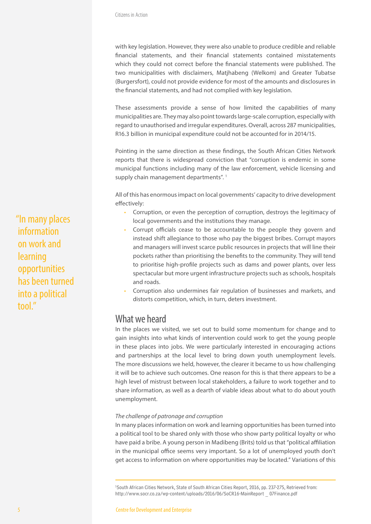with key legislation. However, they were also unable to produce credible and reliable financial statements, and their financial statements contained misstatements which they could not correct before the financial statements were published. The two municipalities with disclaimers, Matjhabeng (Welkom) and Greater Tubatse (Burgersfort), could not provide evidence for most of the amounts and disclosures in the financial statements, and had not complied with key legislation.

These assessments provide a sense of how limited the capabilities of many municipalities are. They may also point towards large-scale corruption, especially with regard to unauthorised and irregular expenditures. Overall, across 287 municipalities, R16.3 billion in municipal expenditure could not be accounted for in 2014/15.

Pointing in the same direction as these findings, the South African Cities Network reports that there is widespread conviction that "corruption is endemic in some municipal functions including many of the law enforcement, vehicle licensing and supply chain management departments".<sup>1</sup>

All of this has enormous impact on local governments' capacity to drive development effectively:

- Corruption, or even the perception of corruption, destroys the legitimacy of local governments and the institutions they manage.
- Corrupt officials cease to be accountable to the people they govern and instead shift allegiance to those who pay the biggest bribes. Corrupt mayors and managers will invest scarce public resources in projects that will line their pockets rather than prioritising the benefits to the community. They will tend to prioritise high-profile projects such as dams and power plants, over less spectacular but more urgent infrastructure projects such as schools, hospitals and roads.
- Corruption also undermines fair regulation of businesses and markets, and distorts competition, which, in turn, deters investment.

#### What we heard

In the places we visited, we set out to build some momentum for change and to gain insights into what kinds of intervention could work to get the young people in these places into jobs. We were particularly interested in encouraging actions and partnerships at the local level to bring down youth unemployment levels. The more discussions we held, however, the clearer it became to us how challenging it will be to achieve such outcomes. One reason for this is that there appears to be a high level of mistrust between local stakeholders, a failure to work together and to share information, as well as a dearth of viable ideas about what to do about youth unemployment.

#### *The challenge of patronage and corruption*

In many places information on work and learning opportunities has been turned into a political tool to be shared only with those who show party political loyalty or who have paid a bribe. A young person in Madibeng (Brits) told us that "political affiliation in the municipal office seems very important. So a lot of unemployed youth don't get access to information on where opportunities may be located." Variations of this

1 South African Cities Network, State of South African Cities Report, 2016, pp. 237-275, Retrieved from: http://www.socr.co.za/wp-content/uploads/2016/06/SoCR16-MainReport \_ 07Finance.pdf

"In many places information on work and learning opportunities has been turned into a political tool<sup>"</sup>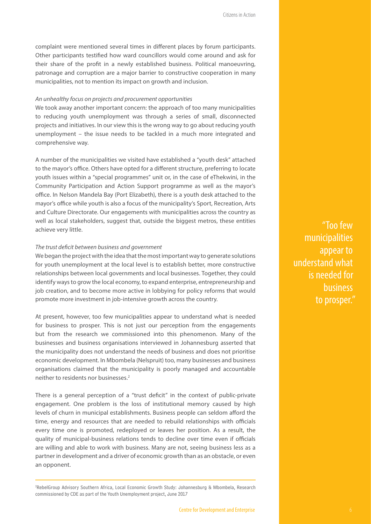complaint were mentioned several times in different places by forum participants. Other participants testified how ward councillors would come around and ask for their share of the profit in a newly established business. Political manoeuvring, patronage and corruption are a major barrier to constructive cooperation in many municipalities, not to mention its impact on growth and inclusion.

#### *An unhealthy focus on projects and procurement opportunities*

We took away another important concern: the approach of too many municipalities to reducing youth unemployment was through a series of small, disconnected projects and initiatives. In our view this is the wrong way to go about reducing youth unemployment – the issue needs to be tackled in a much more integrated and comprehensive way.

A number of the municipalities we visited have established a "youth desk" attached to the mayor's office. Others have opted for a different structure, preferring to locate youth issues within a "special programmes" unit or, in the case of eThekwini, in the Community Participation and Action Support programme as well as the mayor's office. In Nelson Mandela Bay (Port Elizabeth), there is a youth desk attached to the mayor's office while youth is also a focus of the municipality's Sport, Recreation, Arts and Culture Directorate. Our engagements with municipalities across the country as well as local stakeholders, suggest that, outside the biggest metros, these entities achieve very little.

#### *The trust deficit between business and government*

We began the project with the idea that the most important way to generate solutions for youth unemployment at the local level is to establish better, more constructive relationships between local governments and local businesses. Together, they could identify ways to grow the local economy, to expand enterprise, entrepreneurship and job creation, and to become more active in lobbying for policy reforms that would promote more investment in job-intensive growth across the country.

At present, however, too few municipalities appear to understand what is needed for business to prosper. This is not just our perception from the engagements but from the research we commissioned into this phenomenon. Many of the businesses and business organisations interviewed in Johannesburg asserted that the municipality does not understand the needs of business and does not prioritise economic development. In Mbombela (Nelspruit) too, many businesses and business organisations claimed that the municipality is poorly managed and accountable neither to residents nor businesses.2

There is a general perception of a "trust deficit" in the context of public-private engagement. One problem is the loss of institutional memory caused by high levels of churn in municipal establishments. Business people can seldom afford the time, energy and resources that are needed to rebuild relationships with officials every time one is promoted, redeployed or leaves her position. As a result, the quality of municipal-business relations tends to decline over time even if officials are willing and able to work with business. Many are not, seeing business less as a partner in development and a driver of economic growth than as an obstacle, or even an opponent.

"Too few municipalities appear to understand what is needed for business to prosper."

<sup>2</sup> RebelGroup Advisory Southern Africa, Local Economic Growth Study: Johannesburg & Mbombela, Research commissioned by CDE as part of the Youth Unemployment project, June 2017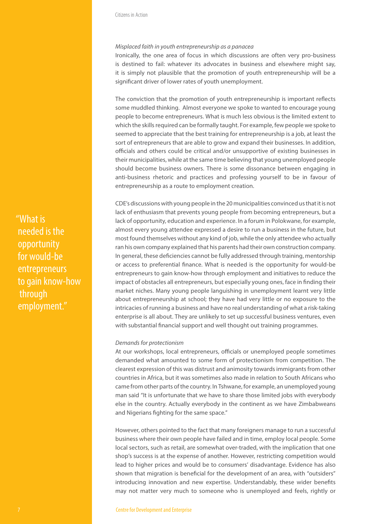#### *Misplaced faith in youth entrepreneurship as a panacea*

Ironically, the one area of focus in which discussions are often very pro-business is destined to fail: whatever its advocates in business and elsewhere might say, it is simply not plausible that the promotion of youth entrepreneurship will be a significant driver of lower rates of youth unemployment.

The conviction that the promotion of youth entrepreneurship is important reflects some muddled thinking. Almost everyone we spoke to wanted to encourage young people to become entrepreneurs. What is much less obvious is the limited extent to which the skills required can be formally taught. For example, few people we spoke to seemed to appreciate that the best training for entrepreneurship is a job, at least the sort of entrepreneurs that are able to grow and expand their businesses. In addition, officials and others could be critical and/or unsupportive of existing businesses in their municipalities, while at the same time believing that young unemployed people should become business owners. There is some dissonance between engaging in anti-business rhetoric and practices and professing yourself to be in favour of entrepreneurship as a route to employment creation.

CDE's discussions with young people in the 20 municipalities convinced us that it is not lack of enthusiasm that prevents young people from becoming entrepreneurs, but a lack of opportunity, education and experience. In a forum in Polokwane, for example, almost every young attendee expressed a desire to run a business in the future, but most found themselves without any kind of job, while the only attendee who actually ran his own company explained that his parents had their own construction company. In general, these deficiencies cannot be fully addressed through training, mentorship or access to preferential finance. What is needed is the opportunity for would-be entrepreneurs to gain know-how through employment and initiatives to reduce the impact of obstacles all entrepreneurs, but especially young ones, face in finding their market niches. Many young people languishing in unemployment learnt very little about entrepreneurship at school; they have had very little or no exposure to the intricacies of running a business and have no real understanding of what a risk-taking enterprise is all about. They are unlikely to set up successful business ventures, even with substantial financial support and well thought out training programmes.

#### *Demands for protectionism*

At our workshops, local entrepreneurs, officials or unemployed people sometimes demanded what amounted to some form of protectionism from competition. The clearest expression of this was distrust and animosity towards immigrants from other countries in Africa, but it was sometimes also made in relation to South Africans who came from other parts of the country. In Tshwane, for example, an unemployed young man said "It is unfortunate that we have to share those limited jobs with everybody else in the country. Actually everybody in the continent as we have Zimbabweans and Nigerians fighting for the same space."

However, others pointed to the fact that many foreigners manage to run a successful business where their own people have failed and in time, employ local people. Some local sectors, such as retail, are somewhat over-traded, with the implication that one shop's success is at the expense of another. However, restricting competition would lead to higher prices and would be to consumers' disadvantage. Evidence has also shown that migration is beneficial for the development of an area, with "outsiders" introducing innovation and new expertise. Understandably, these wider benefits may not matter very much to someone who is unemployed and feels, rightly or

"What is needed is the opportunity for would-be entrepreneurs to gain know-how through employment."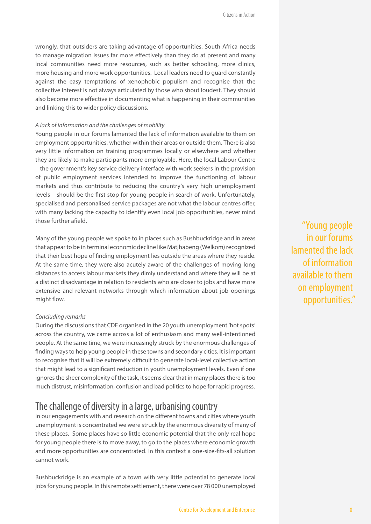wrongly, that outsiders are taking advantage of opportunities. South Africa needs to manage migration issues far more effectively than they do at present and many local communities need more resources, such as better schooling, more clinics, more housing and more work opportunities. Local leaders need to guard constantly against the easy temptations of xenophobic populism and recognise that the collective interest is not always articulated by those who shout loudest. They should also become more effective in documenting what is happening in their communities and linking this to wider policy discussions.

#### *A lack of information and the challenges of mobility*

Young people in our forums lamented the lack of information available to them on employment opportunities, whether within their areas or outside them. There is also very little information on training programmes locally or elsewhere and whether they are likely to make participants more employable. Here, the local Labour Centre – the government's key service delivery interface with work seekers in the provision of public employment services intended to improve the functioning of labour markets and thus contribute to reducing the country's very high unemployment levels – should be the first stop for young people in search of work. Unfortunately, specialised and personalised service packages are not what the labour centres offer, with many lacking the capacity to identify even local job opportunities, never mind those further afield.

Many of the young people we spoke to in places such as Bushbuckridge and in areas that appear to be in terminal economic decline like Matjhabeng (Welkom) recognized that their best hope of finding employment lies outside the areas where they reside. At the same time, they were also acutely aware of the challenges of moving long distances to access labour markets they dimly understand and where they will be at a distinct disadvantage in relation to residents who are closer to jobs and have more extensive and relevant networks through which information about job openings might flow.

#### *Concluding remarks*

During the discussions that CDE organised in the 20 youth unemployment 'hot spots' across the country, we came across a lot of enthusiasm and many well-intentioned people. At the same time, we were increasingly struck by the enormous challenges of finding ways to help young people in these towns and secondary cities. It is important to recognise that it will be extremely difficult to generate local-level collective action that might lead to a significant reduction in youth unemployment levels. Even if one ignores the sheer complexity of the task, it seems clear that in many places there is too much distrust, misinformation, confusion and bad politics to hope for rapid progress.

#### The challenge of diversity in a large, urbanising country

In our engagements with and research on the different towns and cities where youth unemployment is concentrated we were struck by the enormous diversity of many of these places. Some places have so little economic potential that the only real hope for young people there is to move away, to go to the places where economic growth and more opportunities are concentrated. In this context a one-size-fits-all solution cannot work.

Bushbuckridge is an example of a town with very little potential to generate local jobs for young people. In this remote settlement, there were over 78 000 unemployed

"Young people in our forums lamented the lack of information available to them on employment opportunities."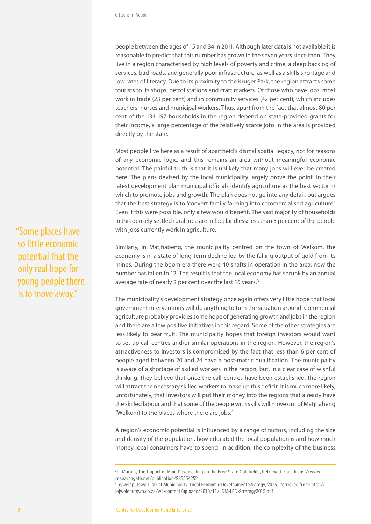people between the ages of 15 and 34 in 2011. Although later data is not available it is reasonable to predict that this number has grown in the seven years since then. They live in a region characterised by high levels of poverty and crime, a deep backlog of services, bad roads, and generally poor infrastructure, as well as a skills shortage and low rates of literacy. Due to its proximity to the Kruger Park, the region attracts some tourists to its shops, petrol stations and craft markets. Of those who have jobs, most work in trade (23 per cent) and in community services (42 per cent), which includes teachers, nurses and municipal workers. Thus, apart from the fact that almost 80 per cent of the 134 197 households in the region depend on state-provided grants for their income, a large percentage of the relatively scarce jobs in the area is provided directly by the state.

Most people live here as a result of apartheid's dismal spatial legacy, not for reasons of any economic logic, and this remains an area without meaningful economic potential. The painful truth is that it is unlikely that many jobs will ever be created here. The plans devised by the local municipality largely prove the point. In their latest development plan municipal officials identify agriculture as the best sector in which to promote jobs and growth. The plan does not go into any detail, but argues that the best strategy is to 'convert family farming into commercialised agriculture'. Even if this were possible, only a few would benefit. The vast majority of households in this densely settled rural area are in fact landless: less than 5 per cent of the people with jobs currently work in agriculture.

Similarly, in Matjhabeng, the municipality centred on the town of Welkom, the economy is in a state of long-term decline led by the falling output of gold from its mines. During the boom era there were 40 shafts in operation in the area; now the number has fallen to 12. The result is that the local economy has shrunk by an annual average rate of nearly 2 per cent over the last 15 years.<sup>3</sup>

The municipality's development strategy once again offers very little hope that local government interventions will do anything to turn the situation around. Commercial agriculture probably provides some hope of generating growth and jobs in the region and there are a few positive initiatives in this regard. Some of the other strategies are less likely to bear fruit. The municipality hopes that foreign investors would want to set up call centres and/or similar operations in the region. However, the region's attractiveness to investors is compromised by the fact that less than 6 per cent of people aged between 20 and 24 have a post-matric qualification. The municipality is aware of a shortage of skilled workers in the region, but, in a clear case of wishful thinking, they believe that once the call-centres have been established, the region will attract the necessary skilled workers to make up this deficit. It is much more likely, unfortunately, that investors will put their money into the regions that already have the skilled labour and that some of the people with skills will move out of Matjhabeng (Welkom) to the places where there are jobs.<sup>4</sup>

A region's economic potential is influenced by a range of factors, including the size and density of the population, how educated the local population is and how much money local consumers have to spend. In addition, the complexity of the business

"Some places have so little economic potential that the only real hope for young people there is to move away."

<sup>3</sup> L. Marais, The Impact of Mine Downscaling on the Free State Goldfields, Retrieved from: https://www. researchgate.net/publication/235554252

<sup>4</sup> Lejweleputswa District Municipality, Local Economic Development Strategy, 2015, Retrieved from: http:// lejweleputswa.co.za/wp-content/uploads/2010/11/LDM-LED-Strategy2015.pdf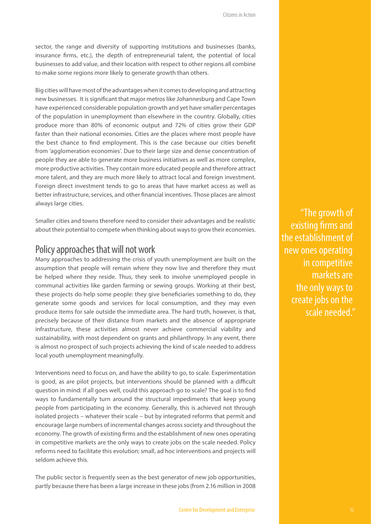sector, the range and diversity of supporting institutions and businesses (banks, insurance firms, etc.), the depth of entrepreneurial talent, the potential of local businesses to add value, and their location with respect to other regions all combine to make some regions more likely to generate growth than others.

Big cities will have most of the advantages when it comes to developing and attracting new businesses. It is significant that major metros like Johannesburg and Cape Town have experienced considerable population growth and yet have smaller percentages of the population in unemployment than elsewhere in the country. Globally, cities produce more than 80% of economic output and 72% of cities grow their GDP faster than their national economies. Cities are the places where most people have the best chance to find employment. This is the case because our cities benefit from 'agglomeration economies'. Due to their large size and dense concentration of people they are able to generate more business initiatives as well as more complex, more productive activities. They contain more educated people and therefore attract more talent, and they are much more likely to attract local and foreign investment. Foreign direct investment tends to go to areas that have market access as well as better infrastructure, services, and other financial incentives. Those places are almost always large cities.

Smaller cities and towns therefore need to consider their advantages and be realistic about their potential to compete when thinking about ways to grow their economies.

#### Policy approaches that will not work

Many approaches to addressing the crisis of youth unemployment are built on the assumption that people will remain where they now live and therefore they must be helped where they reside. Thus, they seek to involve unemployed people in communal activities like garden farming or sewing groups. Working at their best, these projects do help some people: they give beneficiaries something to do, they generate some goods and services for local consumption, and they may even produce items for sale outside the immediate area. The hard truth, however, is that, precisely because of their distance from markets and the absence of appropriate infrastructure, these activities almost never achieve commercial viability and sustainability, with most dependent on grants and philanthropy. In any event, there is almost no prospect of such projects achieving the kind of scale needed to address local youth unemployment meaningfully.

Interventions need to focus on, and have the ability to go, to scale. Experimentation is good, as are pilot projects, but interventions should be planned with a difficult question in mind: if all goes well, could this approach go to scale? The goal is to find ways to fundamentally turn around the structural impediments that keep young people from participating in the economy. Generally, this is achieved not through isolated projects – whatever their scale – but by integrated reforms that permit and encourage large numbers of incremental changes across society and throughout the economy. The growth of existing firms and the establishment of new ones operating in competitive markets are the only ways to create jobs on the scale needed. Policy reforms need to facilitate this evolution; small, ad hoc interventions and projects will seldom achieve this.

The public sector is frequently seen as the best generator of new job opportunities, partly because there has been a large increase in these jobs (from 2.16 million in 2008

"The growth of existing firms and the establishment of new ones operating in competitive markets are the only ways to create jobs on the scale needed."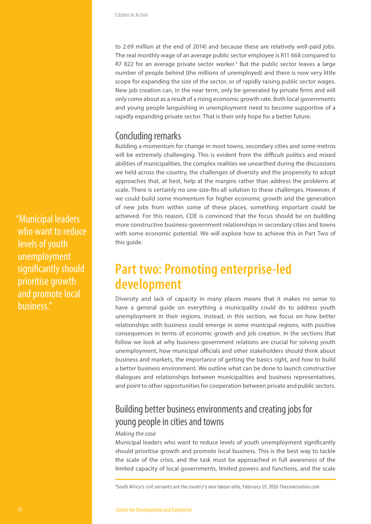to 2.69 million at the end of 2014) and because these are relatively well-paid jobs. The real monthly wage of an average public sector employee is R11 668 compared to R7 822 for an average private sector worker.<sup>5</sup> But the public sector leaves a large number of people behind (the millions of unemployed) and there is now very little scope for expanding the size of the sector, or of rapidly raising public sector wages. New job creation can, in the near term, only be generated by private firms and will only come about as a result of a rising economic growth rate. Both local governments and young people languishing in unemployment need to become supportive of a rapidly expanding private sector. That is their only hope for a better future.

#### Concluding remarks

Building a momentum for change in most towns, secondary cities and some metros will be extremely challenging. This is evident from the difficult politics and mixed abilities of municipalities, the complex realities we unearthed during the discussions we held across the country, the challenges of diversity and the propensity to adopt approaches that, at best, help at the margins rather than address the problems at scale. There is certainly no one-size-fits-all solution to these challenges. However, if we could build some momentum for higher economic growth and the generation of new jobs from within some of these places, something important could be achieved. For this reason, CDE is convinced that the focus should be on building more constructive business-government relationships in secondary cities and towns with some economic potential. We will explore how to achieve this in Part Two of this guide.

### **Part two: Promoting enterprise-led development**

Diversity and lack of capacity in many places means that it makes no sense to have a general guide on everything a municipality could do to address youth unemployment in their regions. Instead, in this section, we focus on how better relationships with business could emerge in some municipal regions, with positive consequences in terms of economic growth and job creation. In the sections that follow we look at why business-government relations are crucial for solving youth unemployment, how municipal officials and other stakeholders should think about business and markets, the importance of getting the basics right, and how to build a better business environment. We outline what can be done to launch constructive dialogues and relationships between municipalities and business representatives, and point to other opportunities for cooperation between private and public sectors.

### Building better business environments and creating jobs for young people in cities and towns

#### *Making the case*

Municipal leaders who want to reduce levels of youth unemployment significantly should prioritise growth and promote local business. This is the best way to tackle the scale of the crisis, and the task must be approached in full awareness of the limited capacity of local governments, limited powers and functions, and the scale

"Municipal leaders who want to reduce levels of youth unemployment significantly should prioritise growth and promote local business."

<sup>5</sup> South Africa's civil servants are the country's new labour elite, February 19, 2016 Thecoversation.com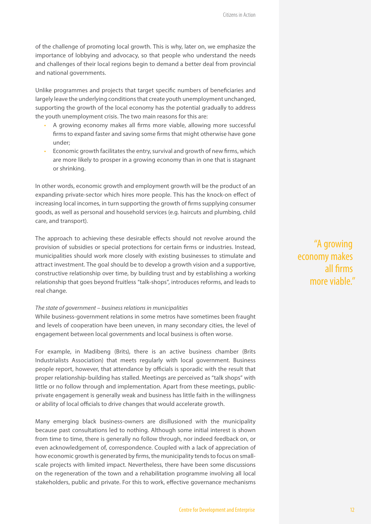of the challenge of promoting local growth. This is why, later on, we emphasize the importance of lobbying and advocacy, so that people who understand the needs and challenges of their local regions begin to demand a better deal from provincial and national governments.

Unlike programmes and projects that target specific numbers of beneficiaries and largely leave the underlying conditions that create youth unemployment unchanged, supporting the growth of the local economy has the potential gradually to address the youth unemployment crisis. The two main reasons for this are:

- A growing economy makes all firms more viable, allowing more successful firms to expand faster and saving some firms that might otherwise have gone under;
- Economic growth facilitates the entry, survival and growth of new firms, which are more likely to prosper in a growing economy than in one that is stagnant or shrinking.

In other words, economic growth and employment growth will be the product of an expanding private-sector which hires more people. This has the knock-on effect of increasing local incomes, in turn supporting the growth of firms supplying consumer goods, as well as personal and household services (e.g. haircuts and plumbing, child care, and transport).

The approach to achieving these desirable effects should not revolve around the provision of subsidies or special protections for certain firms or industries. Instead, municipalities should work more closely with existing businesses to stimulate and attract investment. The goal should be to develop a growth vision and a supportive, constructive relationship over time, by building trust and by establishing a working relationship that goes beyond fruitless "talk-shops", introduces reforms, and leads to real change.

#### *The state of government – business relations in municipalities*

While business-government relations in some metros have sometimes been fraught and levels of cooperation have been uneven, in many secondary cities, the level of engagement between local governments and local business is often worse.

For example, in Madibeng (Brits), there is an active business chamber (Brits Industrialists Association) that meets regularly with local government. Business people report, however, that attendance by officials is sporadic with the result that proper relationship-building has stalled. Meetings are perceived as "talk shops" with little or no follow through and implementation. Apart from these meetings, publicprivate engagement is generally weak and business has little faith in the willingness or ability of local officials to drive changes that would accelerate growth.

Many emerging black business-owners are disillusioned with the municipality because past consultations led to nothing. Although some initial interest is shown from time to time, there is generally no follow through, nor indeed feedback on, or even acknowledgement of, correspondence. Coupled with a lack of appreciation of how economic growth is generated by firms, the municipality tends to focus on smallscale projects with limited impact. Nevertheless, there have been some discussions on the regeneration of the town and a rehabilitation programme involving all local stakeholders, public and private. For this to work, effective governance mechanisms

"A growing economy makes all firms more viable."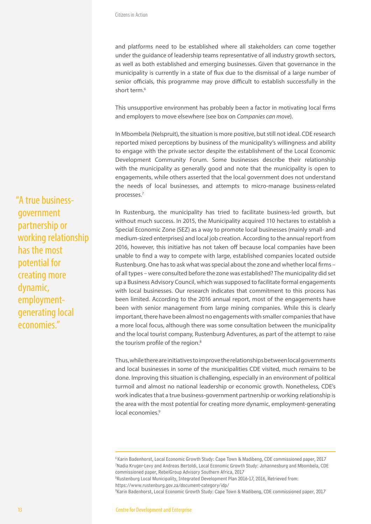and platforms need to be established where all stakeholders can come together under the guidance of leadership teams representative of all industry growth sectors, as well as both established and emerging businesses. Given that governance in the municipality is currently in a state of flux due to the dismissal of a large number of senior officials, this programme may prove difficult to establish successfully in the short term.<sup>6</sup>

This unsupportive environment has probably been a factor in motivating local firms and employers to move elsewhere (see box on *Companies can move*).

In Mbombela (Nelspruit), the situation is more positive, but still not ideal. CDE research reported mixed perceptions by business of the municipality's willingness and ability to engage with the private sector despite the establishment of the Local Economic Development Community Forum. Some businesses describe their relationship with the municipality as generally good and note that the municipality is open to engagements, while others asserted that the local government does not understand the needs of local businesses, and attempts to micro-manage business-related processes.7

In Rustenburg, the municipality has tried to facilitate business-led growth, but without much success. In 2015, the Municipality acquired 110 hectares to establish a Special Economic Zone (SEZ) as a way to promote local businesses (mainly small- and medium-sized enterprises) and local job creation. According to the annual report from 2016, however, this initiative has not taken off because local companies have been unable to find a way to compete with large, established companies located outside Rustenburg. One has to ask what was special about the zone and whether local firms – of all types – were consulted before the zone was established? The municipality did set up a Business Advisory Council, which was supposed to facilitate formal engagements with local businesses. Our research indicates that commitment to this process has been limited. According to the 2016 annual report, most of the engagements have been with senior management from large mining companies. While this is clearly important, there have been almost no engagements with smaller companies that have a more local focus, although there was some consultation between the municipality and the local tourist company, Rustenburg Adventures, as part of the attempt to raise the tourism profile of the region.<sup>8</sup>

Thus, while there are initiatives to improve the relationships between local governments and local businesses in some of the municipalities CDE visited, much remains to be done. Improving this situation is challenging, especially in an environment of political turmoil and almost no national leadership or economic growth. Nonetheless, CDE's work indicates that a true business-government partnership or working relationship is the area with the most potential for creating more dynamic, employment-generating local economies.<sup>9</sup>

https://www.rustenburg.gov.za/document-category/idp/

"A true businessgovernment partnership or working relationship has the most potential for creating more dynamic, employmentgenerating local economies."

<sup>&</sup>lt;sup>6</sup> Karin Badenhorst, Local Economic Growth Study: Cape Town & Madibeng, CDE commissioned paper, 2017 7 Nadia Kruger-Levy and Andreas Bertoldi, Local Economic Growth Study: Johannesburg and Mbombela, CDE commissioned paper, RebelGroup Advisory Southern Africa, 2017

<sup>&</sup>lt;sup>8</sup>Rustenburg Local Municipality, Integrated Development Plan 2016-17, 2016, Retrieved from:

<sup>9</sup> Karin Badenhorst, Local Economic Growth Study: Cape Town & Madibeng, CDE commissioned paper, 2017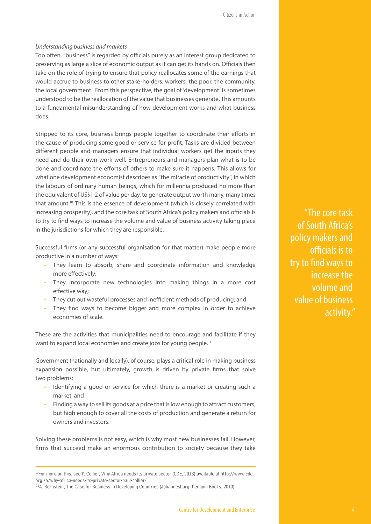#### *Understanding business and markets*

Too often, "business" is regarded by officials purely as an interest group dedicated to preserving as large a slice of economic output as it can get its hands on. Officials then take on the role of trying to ensure that policy reallocates some of the earnings that would accrue to business to other stake-holders: workers, the poor, the community, the local government. From this perspective, the goal of 'development' is sometimes understood to be the reallocation of the value that businesses generate. This amounts to a fundamental misunderstanding of how development works and what business does.

Stripped to its core, business brings people together to coordinate their efforts in the cause of producing some good or service for profit. Tasks are divided between different people and managers ensure that individual workers get the inputs they need and do their own work well. Entrepreneurs and managers plan what is to be done and coordinate the efforts of others to make sure it happens. This allows for what one development economist describes as "the miracle of productivity", in which the labours of ordinary human beings, which for millennia produced no more than the equivalent of US\$1-2 of value per day, to generate output worth many, many times that amount.10 This is the essence of development (which is closely correlated with increasing prosperity), and the core task of South Africa's policy makers and officials is to try to find ways to increase the volume and value of business activity taking place in the jurisdictions for which they are responsible.

Successful firms (or any successful organisation for that matter) make people more productive in a number of ways:

- They learn to absorb, share and coordinate information and knowledge more effectively;
- They incorporate new technologies into making things in a more cost effective way;
- They cut out wasteful processes and inefficient methods of producing; and
- They find ways to become bigger and more complex in order to achieve economies of scale.

These are the activities that municipalities need to encourage and facilitate if they want to expand local economies and create jobs for young people.<sup>11</sup>

Government (nationally and locally), of course, plays a critical role in making business expansion possible, but ultimately, growth is driven by private firms that solve two problems:

- Identifying a good or service for which there is a market or creating such a market; and
- Finding a way to sell its goods at a price that is low enough to attract customers, but high enough to cover all the costs of production and generate a return for owners and investors.

Solving these problems is not easy, which is why most new businesses fail. However, firms that succeed make an enormous contribution to society because they take

"The core task of South Africa's policy makers and officials is to try to find ways to increase the volume and value of business activity."

<sup>10</sup>For more on this, see P. Collier, Why Africa needs its private sector (CDE, 2013) available at http://www.cde. org.za/why-africa-needs-its-private-sector-paul-collier/

<sup>&</sup>lt;sup>11</sup>A. Bernstein, The Case for Business in Developing Countries (Johannesburg: Penguin Books, 2010).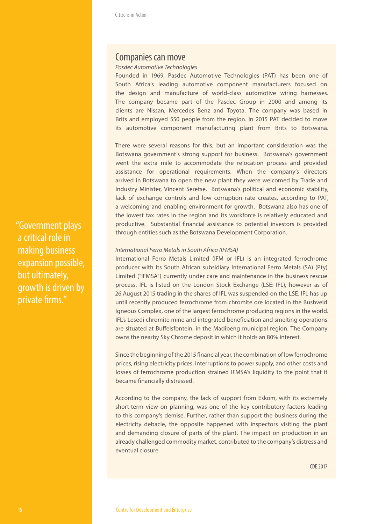#### Companies can move

#### *Pasdec Automotive Technologies*

Founded in 1969, Pasdec Automotive Technologies (PAT) has been one of South Africa's leading automotive component manufacturers focused on the design and manufacture of world-class automotive wiring harnesses. The company became part of the Pasdec Group in 2000 and among its clients are Nissan, Mercedes Benz and Toyota. The company was based in Brits and employed 550 people from the region. In 2015 PAT decided to move its automotive component manufacturing plant from Brits to Botswana.

There were several reasons for this, but an important consideration was the Botswana government's strong support for business. Botswana's government went the extra mile to accommodate the relocation process and provided assistance for operational requirements. When the company's directors arrived in Botswana to open the new plant they were welcomed by Trade and Industry Minister, Vincent Seretse. Botswana's political and economic stability, lack of exchange controls and low corruption rate creates, according to PAT, a welcoming and enabling environment for growth. Botswana also has one of the lowest tax rates in the region and its workforce is relatively educated and productive. Substantial financial assistance to potential investors is provided through entities such as the Botswana Development Corporation.

#### *International Ferro Metals in South Africa (IFMSA)*

International Ferro Metals Limited (IFM or IFL) is an integrated ferrochrome producer with its South African subsidiary International Ferro Metals (SA) (Pty) Limited ("IFMSA") currently under care and maintenance in the business rescue process. IFL is listed on the London Stock Exchange (LSE: IFL), however as of 26 August 2015 trading in the shares of IFL was suspended on the LSE. IFL has up until recently produced ferrochrome from chromite ore located in the Bushveld Igneous Complex, one of the largest ferrochrome producing regions in the world. IFL's Lesedi chromite mine and integrated beneficiation and smelting operations are situated at Buffelsfontein, in the Madibeng municipal region. The Company owns the nearby Sky Chrome deposit in which it holds an 80% interest.

Since the beginning of the 2015 financial year, the combination of low ferrochrome prices, rising electricity prices, interruptions to power supply, and other costs and losses of ferrochrome production strained IFMSA's liquidity to the point that it became financially distressed.

According to the company, the lack of support from Eskom, with its extremely short-term view on planning, was one of the key contributory factors leading to this company's demise. Further, rather than support the business during the electricity debacle, the opposite happened with inspectors visiting the plant and demanding closure of parts of the plant. The impact on production in an already challenged commodity market, contributed to the company's distress and eventual closure.

CDE 2017

"Government plays a critical role in making business expansion possible, but ultimately, growth is driven by private firms."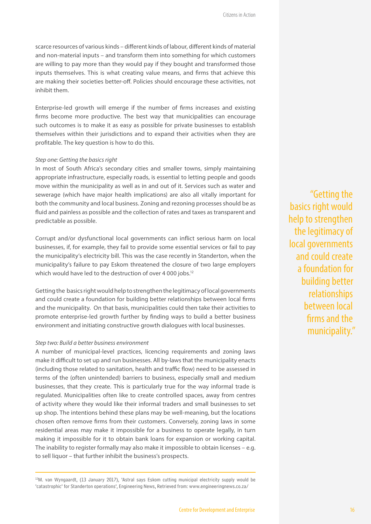scarce resources of various kinds – different kinds of labour, different kinds of material and non-material inputs – and transform them into something for which customers are willing to pay more than they would pay if they bought and transformed those inputs themselves. This is what creating value means, and firms that achieve this are making their societies better-off. Policies should encourage these activities, not inhibit them.

Enterprise-led growth will emerge if the number of firms increases and existing firms become more productive. The best way that municipalities can encourage such outcomes is to make it as easy as possible for private businesses to establish themselves within their jurisdictions and to expand their activities when they are profitable. The key question is how to do this.

#### *Step one: Getting the basics right*

In most of South Africa's secondary cities and smaller towns, simply maintaining appropriate infrastructure, especially roads, is essential to letting people and goods move within the municipality as well as in and out of it. Services such as water and sewerage (which have major health implications) are also all vitally important for both the community and local business. Zoning and rezoning processes should be as fluid and painless as possible and the collection of rates and taxes as transparent and predictable as possible.

Corrupt and/or dysfunctional local governments can inflict serious harm on local businesses, if, for example, they fail to provide some essential services or fail to pay the municipality's electricity bill. This was the case recently in Standerton, when the municipality's failure to pay Eskom threatened the closure of two large employers which would have led to the destruction of over 4 000 jobs.<sup>12</sup>

Getting the basics right would help to strengthen the legitimacy of local governments and could create a foundation for building better relationships between local firms and the municipality. On that basis, municipalities could then take their activities to promote enterprise-led growth further by finding ways to build a better business environment and initiating constructive growth dialogues with local businesses.

#### *Step two: Build a better business environment*

A number of municipal-level practices, licencing requirements and zoning laws make it difficult to set up and run businesses. All by-laws that the municipality enacts (including those related to sanitation, health and traffic flow) need to be assessed in terms of the (often unintended) barriers to business, especially small and medium businesses, that they create. This is particularly true for the way informal trade is regulated. Municipalities often like to create controlled spaces, away from centres of activity where they would like their informal traders and small businesses to set up shop. The intentions behind these plans may be well-meaning, but the locations chosen often remove firms from their customers. Conversely, zoning laws in some residential areas may make it impossible for a business to operate legally, in turn making it impossible for it to obtain bank loans for expansion or working capital. The inability to register formally may also make it impossible to obtain licenses – e.g. to sell liquor – that further inhibit the business's prospects.

<sup>12</sup>M. van Wyngaardt, (13 January 2017), 'Astral says Eskom cutting municipal electricity supply would be 'catastrophic' for Standerton operations', Engineering News, Retrieved from: www.engineeringnews.co.za/

"Getting the basics right would help to strengthen the legitimacy of local governments and could create a foundation for building better relationships between local firms and the municipality."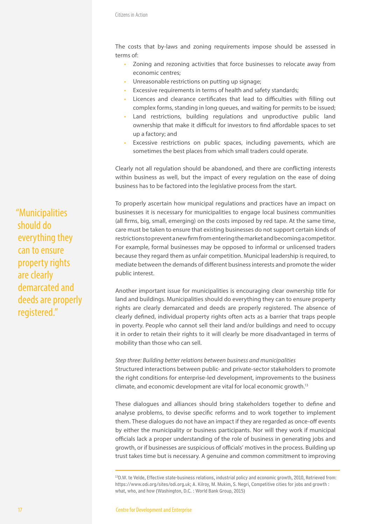Citizens in Action

The costs that by-laws and zoning requirements impose should be assessed in terms of:

- Zoning and rezoning activities that force businesses to relocate away from economic centres;
- Unreasonable restrictions on putting up signage;
- Excessive requirements in terms of health and safety standards;
- Licences and clearance certificates that lead to difficulties with filling out complex forms, standing in long queues, and waiting for permits to be issued;
- Land restrictions, building regulations and unproductive public land ownership that make it difficult for investors to find affordable spaces to set up a factory; and
- Excessive restrictions on public spaces, including pavements, which are sometimes the best places from which small traders could operate.

Clearly not all regulation should be abandoned, and there are conflicting interests within business as well, but the impact of every regulation on the ease of doing business has to be factored into the legislative process from the start.

To properly ascertain how municipal regulations and practices have an impact on businesses it is necessary for municipalities to engage local business communities (all firms, big, small, emerging) on the costs imposed by red tape. At the same time, care must be taken to ensure that existing businesses do not support certain kinds of restrictions to prevent a new firm from entering the market and becoming a competitor. For example, formal businesses may be opposed to informal or unlicensed traders because they regard them as unfair competition. Municipal leadership is required, to mediate between the demands of different business interests and promote the wider public interest.

Another important issue for municipalities is encouraging clear ownership title for land and buildings. Municipalities should do everything they can to ensure property rights are clearly demarcated and deeds are properly registered. The absence of clearly defined, individual property rights often acts as a barrier that traps people in poverty. People who cannot sell their land and/or buildings and need to occupy it in order to retain their rights to it will clearly be more disadvantaged in terms of mobility than those who can sell.

#### *Step three: Building better relations between business and municipalities*

Structured interactions between public- and private-sector stakeholders to promote the right conditions for enterprise-led development, improvements to the business climate, and economic development are vital for local economic growth.13

These dialogues and alliances should bring stakeholders together to define and analyse problems, to devise specific reforms and to work together to implement them. These dialogues do not have an impact if they are regarded as once-off events by either the municipality or business participants. Nor will they work if municipal officials lack a proper understanding of the role of business in generating jobs and growth, or if businesses are suspicious of officials' motives in the process. Building up trust takes time but is necessary. A genuine and common commitment to improving

13D.W. te Velde, Effective state-business relations, industrial policy and economic growth, 2010, Retrieved from: https://www.odi.org/sites/odi.org.uk; A. Kilroy, M. Mukim, S. Negri, Competitive cities for jobs and growth : what, who, and how (Washington, D.C. : World Bank Group, 2015)

"Municipalities should do everything they can to ensure property rights are clearly demarcated and deeds are properly registered."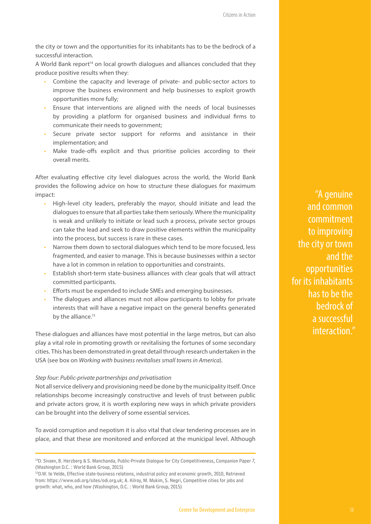the city or town and the opportunities for its inhabitants has to be the bedrock of a successful interaction.

A World Bank report<sup>14</sup> on local growth dialogues and alliances concluded that they produce positive results when they:

- Combine the capacity and leverage of private- and public-sector actors to improve the business environment and help businesses to exploit growth opportunities more fully;
- Ensure that interventions are aligned with the needs of local businesses by providing a platform for organised business and individual firms to communicate their needs to government;
- Secure private sector support for reforms and assistance in their implementation; and
- Make trade-offs explicit and thus prioritise policies according to their overall merits.

After evaluating effective city level dialogues across the world, the World Bank provides the following advice on how to structure these dialogues for maximum impact:

- High-level city leaders, preferably the mayor, should initiate and lead the dialogues to ensure that all parties take them seriously. Where the municipality is weak and unlikely to initiate or lead such a process, private sector groups can take the lead and seek to draw positive elements within the municipality into the process, but success is rare in these cases.
- Narrow them down to sectoral dialogues which tend to be more focused, less fragmented, and easier to manage. This is because businesses within a sector have a lot in common in relation to opportunities and constraints.
- Establish short-term state-business alliances with clear goals that will attract committed participants.
- Efforts must be expended to include SMEs and emerging businesses.
- The dialogues and alliances must not allow participants to lobby for private interests that will have a negative impact on the general benefits generated by the alliance.<sup>15</sup>

These dialogues and alliances have most potential in the large metros, but can also play a vital role in promoting growth or revitalising the fortunes of some secondary cities. This has been demonstrated in great detail through research undertaken in the USA (see box on *Working with business revitalises small towns in America*).

#### *Step four: Public-private partnerships and privatisation*

Not all service delivery and provisioning need be done by the municipality itself. Once relationships become increasingly constructive and levels of trust between public and private actors grow, it is worth exploring new ways in which private providers can be brought into the delivery of some essential services.

To avoid corruption and nepotism it is also vital that clear tendering processes are in place, and that these are monitored and enforced at the municipal level. Although

"A genuine and common commitment to improving the city or town and the opportunities for its inhabitants has to be the bedrock of a successful interaction."

<sup>&</sup>lt;sup>14</sup>D. Sivaev, B. Herzberg & S. Manchanda, Public-Private Dialogue for City Competitiveness, Companion Paper 7, (Washington D.C. : World Bank Group, 2015)

<sup>&</sup>lt;sup>15</sup>D.W. te Velde, Effective state-business relations, industrial policy and economic growth, 2010, Retrieved from: https://www.odi.org/sites/odi.org.uk; A. Kilroy, M. Mukim, S. Negri, Competitive cities for jobs and growth: what, who, and how (Washington, D.C. : World Bank Group, 2015)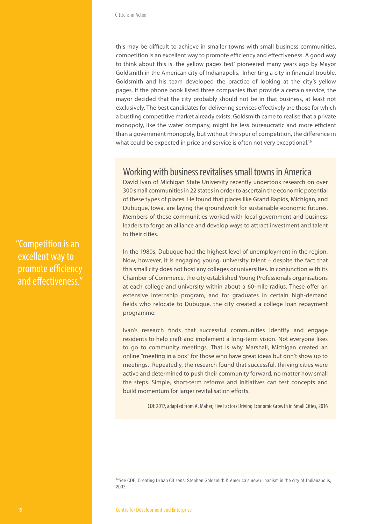this may be difficult to achieve in smaller towns with small business communities, competition is an excellent way to promote efficiency and effectiveness. A good way to think about this is 'the yellow pages test' pioneered many years ago by Mayor Goldsmith in the American city of Indianapolis. Inheriting a city in financial trouble, Goldsmith and his team developed the practice of looking at the city's yellow pages. If the phone book listed three companies that provide a certain service, the mayor decided that the city probably should not be in that business, at least not exclusively. The best candidates for delivering services effectively are those for which a bustling competitive market already exists. Goldsmith came to realise that a private monopoly, like the water company, might be less bureaucratic and more efficient than a government monopoly, but without the spur of competition, the difference in what could be expected in price and service is often not very exceptional.<sup>16</sup>

#### Working with business revitalises small towns in America

David Ivan of Michigan State University recently undertook research on over 300 small communities in 22 states in order to ascertain the economic potential of these types of places. He found that places like Grand Rapids, Michigan, and Dubuque, Iowa, are laying the groundwork for sustainable economic futures. Members of these communities worked with local government and business leaders to forge an alliance and develop ways to attract investment and talent to their cities.

In the 1980s, Dubuque had the highest level of unemployment in the region. Now, however, it is engaging young, university talent – despite the fact that this small city does not host any colleges or universities. In conjunction with its Chamber of Commerce, the city established Young Professionals organisations at each college and university within about a 60-mile radius. These offer an extensive internship program, and for graduates in certain high-demand fields who relocate to Dubuque, the city created a college loan repayment programme.

Ivan's research finds that successful communities identify and engage residents to help craft and implement a long-term vision. Not everyone likes to go to community meetings. That is why Marshall, Michigan created an online "meeting in a box" for those who have great ideas but don't show up to meetings. Repeatedly, the research found that successful, thriving cities were active and determined to push their community forward, no matter how small the steps. Simple, short-term reforms and initiatives can test concepts and build momentum for larger revitalisation efforts.

CDE 2017, adapted from A. Maher, Five Factors Driving Economic Growth in Small Cities, 2016

"Competition is an excellent way to promote efficiency and effectiveness."

<sup>&</sup>lt;sup>16</sup>See CDE, Creating Urban Citizens: Stephen Goldsmith & America's new urbanism in the city of Indianapolis, 2003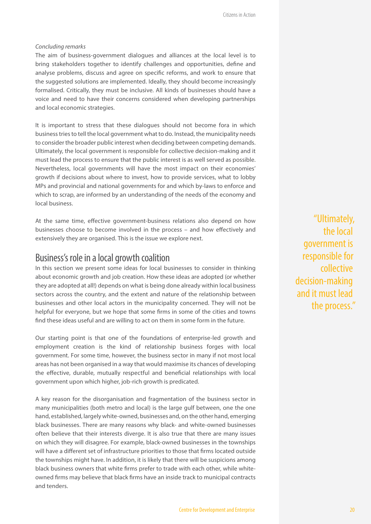#### *Concluding remarks*

The aim of business-government dialogues and alliances at the local level is to bring stakeholders together to identify challenges and opportunities, define and analyse problems, discuss and agree on specific reforms, and work to ensure that the suggested solutions are implemented. Ideally, they should become increasingly formalised. Critically, they must be inclusive. All kinds of businesses should have a voice and need to have their concerns considered when developing partnerships and local economic strategies.

It is important to stress that these dialogues should not become fora in which business tries to tell the local government what to do. Instead, the municipality needs to consider the broader public interest when deciding between competing demands. Ultimately, the local government is responsible for collective decision-making and it must lead the process to ensure that the public interest is as well served as possible. Nevertheless, local governments will have the most impact on their economies' growth if decisions about where to invest, how to provide services, what to lobby MPs and provincial and national governments for and which by-laws to enforce and which to scrap, are informed by an understanding of the needs of the economy and local business.

At the same time, effective government-business relations also depend on how businesses choose to become involved in the process – and how effectively and extensively they are organised. This is the issue we explore next.

#### Business's role in a local growth coalition

In this section we present some ideas for local businesses to consider in thinking about economic growth and job creation. How these ideas are adopted (or whether they are adopted at all!) depends on what is being done already within local business sectors across the country, and the extent and nature of the relationship between businesses and other local actors in the municipality concerned. They will not be helpful for everyone, but we hope that some firms in some of the cities and towns find these ideas useful and are willing to act on them in some form in the future.

Our starting point is that one of the foundations of enterprise-led growth and employment creation is the kind of relationship business forges with local government. For some time, however, the business sector in many if not most local areas has not been organised in a way that would maximise its chances of developing the effective, durable, mutually respectful and beneficial relationships with local government upon which higher, job-rich growth is predicated.

A key reason for the disorganisation and fragmentation of the business sector in many municipalities (both metro and local) is the large gulf between, one the one hand, established, largely white-owned, businesses and, on the other hand, emerging black businesses. There are many reasons why black- and white-owned businesses often believe that their interests diverge. It is also true that there are many issues on which they will disagree. For example, black-owned businesses in the townships will have a different set of infrastructure priorities to those that firms located outside the townships might have. In addition, it is likely that there will be suspicions among black business owners that white firms prefer to trade with each other, while whiteowned firms may believe that black firms have an inside track to municipal contracts and tenders.

"Ultimately, the local government is responsible for collective decision-making and it must lead the process."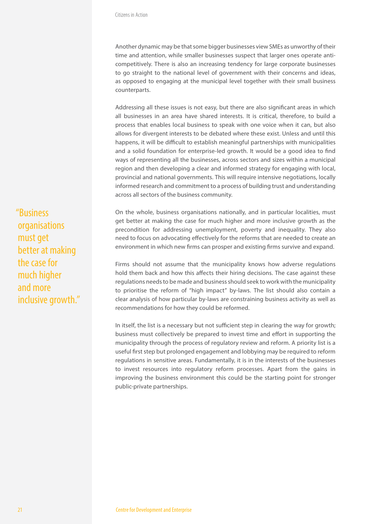Another dynamic may be that some bigger businesses view SMEs as unworthy of their time and attention, while smaller businesses suspect that larger ones operate anticompetitively. There is also an increasing tendency for large corporate businesses to go straight to the national level of government with their concerns and ideas, as opposed to engaging at the municipal level together with their small business counterparts.

Addressing all these issues is not easy, but there are also significant areas in which all businesses in an area have shared interests. It is critical, therefore, to build a process that enables local business to speak with one voice when it can, but also allows for divergent interests to be debated where these exist. Unless and until this happens, it will be difficult to establish meaningful partnerships with municipalities and a solid foundation for enterprise-led growth. It would be a good idea to find ways of representing all the businesses, across sectors and sizes within a municipal region and then developing a clear and informed strategy for engaging with local, provincial and national governments. This will require intensive negotiations, locally informed research and commitment to a process of building trust and understanding across all sectors of the business community.

On the whole, business organisations nationally, and in particular localities, must get better at making the case for much higher and more inclusive growth as the precondition for addressing unemployment, poverty and inequality. They also need to focus on advocating effectively for the reforms that are needed to create an environment in which new firms can prosper and existing firms survive and expand.

Firms should not assume that the municipality knows how adverse regulations hold them back and how this affects their hiring decisions. The case against these regulations needs to be made and business should seek to work with the municipality to prioritise the reform of "high impact" by-laws. The list should also contain a clear analysis of how particular by-laws are constraining business activity as well as recommendations for how they could be reformed.

In itself, the list is a necessary but not sufficient step in clearing the way for growth; business must collectively be prepared to invest time and effort in supporting the municipality through the process of regulatory review and reform. A priority list is a useful first step but prolonged engagement and lobbying may be required to reform regulations in sensitive areas. Fundamentally, it is in the interests of the businesses to invest resources into regulatory reform processes. Apart from the gains in improving the business environment this could be the starting point for stronger public-private partnerships.

"Business organisations must get better at making the case for much higher and more inclusive growth."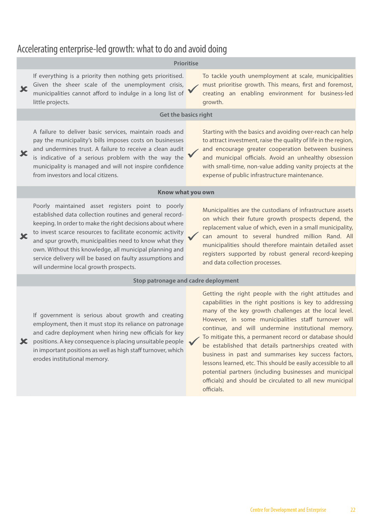#### Accelerating enterprise-led growth: what to do and avoid doing

#### **Prioritise**

If everything is a priority then nothing gets prioritised. Given the sheer scale of the unemployment crisis,  $\overline{\mathbf{x}}$ municipalities cannot afford to indulge in a long list of little projects.

To tackle youth unemployment at scale, municipalities must prioritise growth. This means, first and foremost, creating an enabling environment for business-led growth.

#### **Get the basics right**

A failure to deliver basic services, maintain roads and pay the municipality's bills imposes costs on businesses and undermines trust. A failure to receive a clean audit is indicative of a serious problem with the way the municipality is managed and will not inspire confidence from investors and local citizens.

Starting with the basics and avoiding over-reach can help to attract investment, raise the quality of life in the region, and encourage greater cooperation between business and municipal officials. Avoid an unhealthy obsession with small-time, non-value adding vanity projects at the expense of public infrastructure maintenance.

#### **Know what you own**

Poorly maintained asset registers point to poorly established data collection routines and general recordkeeping. In order to make the right decisions about where to invest scarce resources to facilitate economic activity and spur growth, municipalities need to know what they own. Without this knowledge, all municipal planning and service delivery will be based on faulty assumptions and

will undermine local growth prospects.

erodes institutional memory.

Municipalities are the custodians of infrastructure assets on which their future growth prospects depend, the replacement value of which, even in a small municipality, can amount to several hundred million Rand. All municipalities should therefore maintain detailed asset registers supported by robust general record-keeping and data collection processes.

Getting the right people with the right attitudes and capabilities in the right positions is key to addressing many of the key growth challenges at the local level.

#### **Stop patronage and cadre deployment**

If government is serious about growth and creating employment, then it must stop its reliance on patronage and cadre deployment when hiring new officials for key **X** positions. A key consequence is placing unsuitable people in important positions as well as high staff turnover, which

However, in some municipalities staff turnover will continue, and will undermine institutional memory. To mitigate this, a permanent record or database should be established that details partnerships created with business in past and summarises key success factors, lessons learned, etc. This should be easily accessible to all potential partners (including businesses and municipal officials) and should be circulated to all new municipal

officials.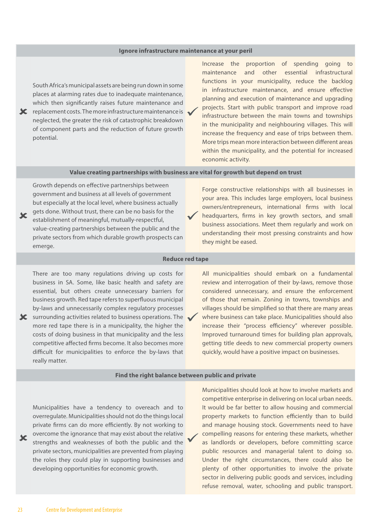#### **Ignore infrastructure maintenance at your peril**

South Africa's municipal assets are being run down in some places at alarming rates due to inadequate maintenance, which then significantly raises future maintenance and  $\mathbf{\times}$  replacement costs. The more infrastructure maintenance is neglected, the greater the risk of catastrophic breakdown of component parts and the reduction of future growth potential.

Increase the proportion of spending going to maintenance and other essential infrastructural functions in your municipality, reduce the backlog in infrastructure maintenance, and ensure effective planning and execution of maintenance and upgrading projects. Start with public transport and improve road infrastructure between the main towns and townships in the municipality and neighbouring villages. This will increase the frequency and ease of trips between them. More trips mean more interaction between different areas within the municipality, and the potential for increased economic activity.

#### **Value creating partnerships with business are vital for growth but depend on trust**

Growth depends on effective partnerships between government and business at all levels of government but especially at the local level, where business actually gets done. Without trust, there can be no basis for the establishment of meaningful, mutually-respectful, value-creating partnerships between the public and the private sectors from which durable growth prospects can emerge.

Forge constructive relationships with all businesses in your area. This includes large employers, local business owners/entrepreneurs, international firms with local headquarters, firms in key growth sectors, and small business associations. Meet them regularly and work on understanding their most pressing constraints and how they might be eased.

#### **Reduce red tape**

There are too many regulations driving up costs for business in SA. Some, like basic health and safety are essential, but others create unnecessary barriers for business growth. Red tape refers to superfluous municipal by-laws and unnecessarily complex regulatory processes

 $\mathbf{\times}$  surrounding activities related to business operations. The  $\mathbf{\cdot}$ more red tape there is in a municipality, the higher the costs of doing business in that municipality and the less competitive affected firms become. It also becomes more difficult for municipalities to enforce the by-laws that really matter.

All municipalities should embark on a fundamental review and interrogation of their by-laws, remove those considered unnecessary, and ensure the enforcement of those that remain. Zoning in towns, townships and villages should be simplified so that there are many areas where business can take place. Municipalities should also increase their "process efficiency" wherever possible. Improved turnaround times for building plan approvals, getting title deeds to new commercial property owners quickly, would have a positive impact on businesses.

#### **Find the right balance between public and private**

Municipalities have a tendency to overeach and to overregulate. Municipalities should not do the things local private firms can do more efficiently. By not working to overcome the ignorance that may exist about the relative strengths and weaknesses of both the public and the private sectors, municipalities are prevented from playing the roles they could play in supporting businesses and developing opportunities for economic growth.

Municipalities should look at how to involve markets and competitive enterprise in delivering on local urban needs. It would be far better to allow housing and commercial property markets to function efficiently than to build and manage housing stock. Governments need to have compelling reasons for entering these markets, whether as landlords or developers, before committing scarce public resources and managerial talent to doing so. Under the right circumstances, there could also be plenty of other opportunities to involve the private sector in delivering public goods and services, including refuse removal, water, schooling and public transport.

X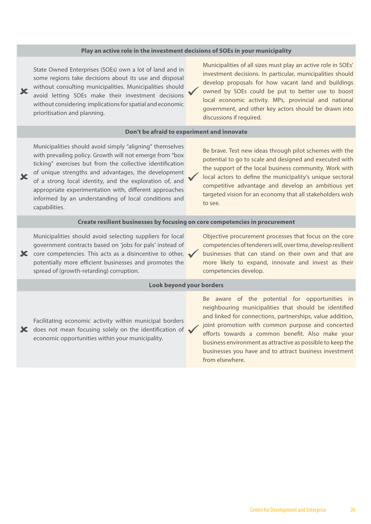#### **Play an active role in the investment decisions of SOEs in your municipality**

State Owned Enterprises (SOEs) own a lot of land and in some regions take decisions about its use and disposal without consulting municipalities. Municipalities should avoid letting SOEs make their investment decisions without considering implications for spatial and economic prioritisation and planning.

Municipalities of all sizes must play an active role in SOEs' investment decisions. In particular, municipalities should develop proposals for how vacant land and buildings owned by SOEs could be put to better use to boost local economic activity. MPs, provincial and national government, and other key actors should be drawn into discussions if required.

#### **Don't be afraid to experiment and innovate**

Municipalities should avoid simply "aligning" themselves with prevailing policy. Growth will not emerge from "box ticking" exercises but from the collective identification of unique strengths and advantages, the development of a strong local identity, and the exploration of, and appropriate experimentation with, different approaches informed by an understanding of local conditions and capabilities.

Be brave. Test new ideas through pilot schemes with the potential to go to scale and designed and executed with the support of the local business community. Work with local actors to define the municipality's unique sectoral competitive advantage and develop an ambitious yet targeted vision for an economy that all stakeholders wish to see.

#### **Create resilient businesses by focusing on core competencies in procurement**

Municipalities should avoid selecting suppliers for local government contracts based on 'jobs for pals' instead of

 $\mathbf{\times}$  core competencies. This acts as a disincentive to other,  $\mathbf{\times}$ potentially more efficient businesses and promotes the spread of (growth-retarding) corruption.

Objective procurement processes that focus on the core competencies of tenderers will, over time, develop resilient businesses that can stand on their own and that are more likely to expand, innovate and invest as their competencies develop.

#### **Look beyond your borders**

Facilitating economic activity within municipal borders  $\bigstar$  does not mean focusing solely on the identification of economic opportunities within your municipality.

Be aware of the potential for opportunities in neighbouring municipalities that should be identified and linked for connections, partnerships, value addition, joint promotion with common purpose and concerted efforts towards a common benefit. Also make your business environment as attractive as possible to keep the businesses you have and to attract business investment from elsewhere.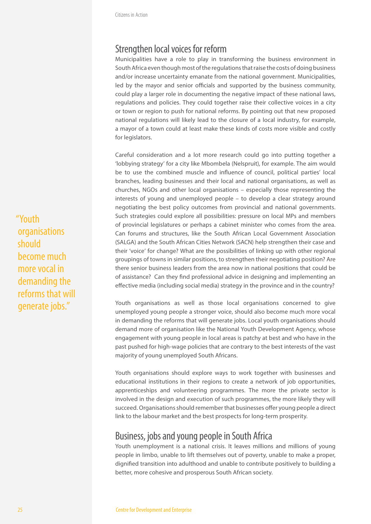#### Strengthen local voices for reform

Municipalities have a role to play in transforming the business environment in South Africa even though most of the regulations that raise the costs of doing business and/or increase uncertainty emanate from the national government. Municipalities, led by the mayor and senior officials and supported by the business community, could play a larger role in documenting the negative impact of these national laws, regulations and policies. They could together raise their collective voices in a city or town or region to push for national reforms. By pointing out that new proposed national regulations will likely lead to the closure of a local industry, for example, a mayor of a town could at least make these kinds of costs more visible and costly for legislators.

Careful consideration and a lot more research could go into putting together a 'lobbying strategy' for a city like Mbombela (Nelspruit), for example. The aim would be to use the combined muscle and influence of council, political parties' local branches, leading businesses and their local and national organisations, as well as churches, NGOs and other local organisations – especially those representing the interests of young and unemployed people – to develop a clear strategy around negotiating the best policy outcomes from provincial and national governments. Such strategies could explore all possibilities: pressure on local MPs and members of provincial legislatures or perhaps a cabinet minister who comes from the area. Can forums and structures, like the South African Local Government Association (SALGA) and the South African Cities Network (SACN) help strengthen their case and their 'voice' for change? What are the possibilities of linking up with other regional groupings of towns in similar positions, to strengthen their negotiating position? Are there senior business leaders from the area now in national positions that could be of assistance? Can they find professional advice in designing and implementing an effective media (including social media) strategy in the province and in the country?

Youth organisations as well as those local organisations concerned to give unemployed young people a stronger voice, should also become much more vocal in demanding the reforms that will generate jobs. Local youth organisations should demand more of organisation like the National Youth Development Agency, whose engagement with young people in local areas is patchy at best and who have in the past pushed for high-wage policies that are contrary to the best interests of the vast majority of young unemployed South Africans.

Youth organisations should explore ways to work together with businesses and educational institutions in their regions to create a network of job opportunities, apprenticeships and volunteering programmes. The more the private sector is involved in the design and execution of such programmes, the more likely they will succeed. Organisations should remember that businesses offer young people a direct link to the labour market and the best prospects for long-term prosperity.

#### Business, jobs and young people in South Africa

Youth unemployment is a national crisis. It leaves millions and millions of young people in limbo, unable to lift themselves out of poverty, unable to make a proper, dignified transition into adulthood and unable to contribute positively to building a better, more cohesive and prosperous South African society.

"Youth organisations should become much more vocal in demanding the reforms that will generate jobs."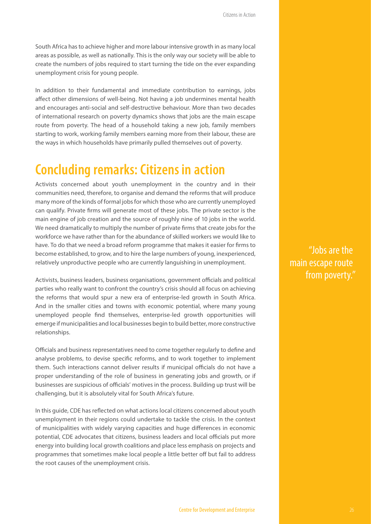South Africa has to achieve higher and more labour intensive growth in as many local areas as possible, as well as nationally. This is the only way our society will be able to create the numbers of jobs required to start turning the tide on the ever expanding unemployment crisis for young people.

In addition to their fundamental and immediate contribution to earnings, jobs affect other dimensions of well-being. Not having a job undermines mental health and encourages anti-social and self-destructive behaviour. More than two decades of international research on poverty dynamics shows that jobs are the main escape route from poverty. The head of a household taking a new job, family members starting to work, working family members earning more from their labour, these are the ways in which households have primarily pulled themselves out of poverty.

### **Concluding remarks: Citizens in action**

Activists concerned about youth unemployment in the country and in their communities need, therefore, to organise and demand the reforms that will produce many more of the kinds of formal jobs for which those who are currently unemployed can qualify. Private firms will generate most of these jobs. The private sector is the main engine of job creation and the source of roughly nine of 10 jobs in the world. We need dramatically to multiply the number of private firms that create jobs for the workforce we have rather than for the abundance of skilled workers we would like to have. To do that we need a broad reform programme that makes it easier for firms to become established, to grow, and to hire the large numbers of young, inexperienced, relatively unproductive people who are currently languishing in unemployment.

Activists, business leaders, business organisations, government officials and political parties who really want to confront the country's crisis should all focus on achieving the reforms that would spur a new era of enterprise-led growth in South Africa. And in the smaller cities and towns with economic potential, where many young unemployed people find themselves, enterprise-led growth opportunities will emerge if municipalities and local businesses begin to build better, more constructive relationships.

Officials and business representatives need to come together regularly to define and analyse problems, to devise specific reforms, and to work together to implement them. Such interactions cannot deliver results if municipal officials do not have a proper understanding of the role of business in generating jobs and growth, or if businesses are suspicious of officials' motives in the process. Building up trust will be challenging, but it is absolutely vital for South Africa's future.

In this guide, CDE has reflected on what actions local citizens concerned about youth unemployment in their regions could undertake to tackle the crisis. In the context of municipalities with widely varying capacities and huge differences in economic potential, CDE advocates that citizens, business leaders and local officials put more energy into building local growth coalitions and place less emphasis on projects and programmes that sometimes make local people a little better off but fail to address the root causes of the unemployment crisis.

"Jobs are the main escape route from poverty."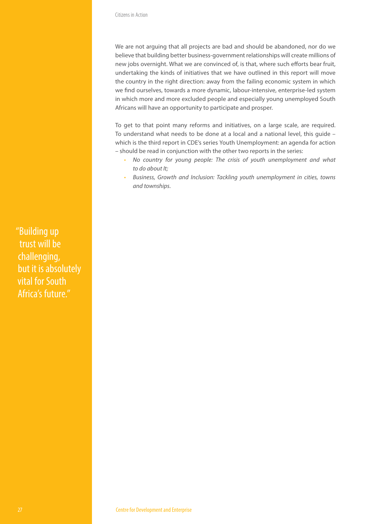We are not arguing that all projects are bad and should be abandoned, nor do we believe that building better business-government relationships will create millions of new jobs overnight. What we are convinced of, is that, where such efforts bear fruit, undertaking the kinds of initiatives that we have outlined in this report will move the country in the right direction: away from the failing economic system in which we find ourselves, towards a more dynamic, labour-intensive, enterprise-led system in which more and more excluded people and especially young unemployed South Africans will have an opportunity to participate and prosper.

To get to that point many reforms and initiatives, on a large scale, are required. To understand what needs to be done at a local and a national level, this guide – which is the third report in CDE's series Youth Unemployment: an agenda for action – should be read in conjunction with the other two reports in the series:

- *No country for young people: The crisis of youth unemployment and what to do about It;*
- *Business, Growth and Inclusion: Tackling youth unemployment in cities, towns and townships.*

"Building up trust will be challenging, but it is absolutely vital for South Africa's future."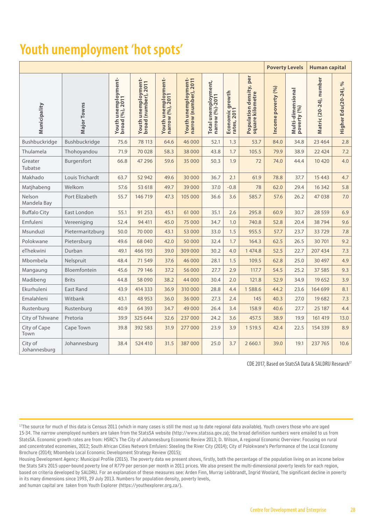### **Youth unemployment 'hot spots'**

|                         |                    |                                        |                                             |                                         |                                              |                                        | <b>Poverty Levels</b>          |                                                | <b>Human capital</b> |                                  |                        |                            |
|-------------------------|--------------------|----------------------------------------|---------------------------------------------|-----------------------------------------|----------------------------------------------|----------------------------------------|--------------------------------|------------------------------------------------|----------------------|----------------------------------|------------------------|----------------------------|
| Municipality            | <b>Major Towns</b> | Youth unemployment-<br>broad (%), 2011 | Youth unemployment-<br>broad (number), 2011 | Youth unemployment-<br>narrow (%), 2011 | Youth unemployment-<br>narrow (number), 2011 | Total unemployment,<br>narrow (%)-2011 | Economic growth<br>rates, 2011 | per<br>Population density,<br>square kilometre | Income poverty (%)   | Multi-dimensional<br>poverty (%) | Matric (20-24), number | $\%$<br>Higher Edu(20-24), |
| Bushbuckridge           | Bushbuckridge      | 75.6                                   | 78 113                                      | 64.6                                    | 46 000                                       | 52.1                                   | 1.3                            | 53.7                                           | 84.0                 | 34.8                             | 23 4 64                | 2.8                        |
| Thulamela               | Thohoyandou        | 71.9                                   | 70 0 28                                     | 58.3                                    | 38 000                                       | 43.8                                   | 1.7                            | 105.5                                          | 79.9                 | 38.9                             | 22 4 24                | 7.2                        |
| Greater<br>Tubatse      | Burgersfort        | 66.8                                   | 47 29 6                                     | 59.6                                    | 35 000                                       | 50.3                                   | 1.9                            | 72                                             | 74.0                 | 44.4                             | 10 4 20                | 4.0                        |
| Makhado                 | Louis Trichardt    | 63.7                                   | 52 942                                      | 49.6                                    | 30000                                        | 36.7                                   | 2.1                            | 61.9                                           | 78.8                 | 37.7                             | 15 4 43                | 4.7                        |
| Matjhabeng              | Welkom             | 57.6                                   | 53 618                                      | 49.7                                    | 39 000                                       | 37.0                                   | $-0.8$                         | 78                                             | 62.0                 | 29.4                             | 16 3 42                | 5.8                        |
| Nelson<br>Mandela Bay   | Port Elizabeth     | 55.7                                   | 146 719                                     | 47.3                                    | 105 000                                      | 36.6                                   | 3.6                            | 585.7                                          | 57.6                 | 26.2                             | 47 038                 | 7.0                        |
| <b>Buffalo City</b>     | East London        | 55.1                                   | 91 253                                      | 45.1                                    | 61 000                                       | 35.1                                   | 2.6                            | 295.8                                          | 60.9                 | 30.7                             | 28 5 5 9               | 6.9                        |
| Emfuleni                | Vereeniging        | 52.4                                   | 94 411                                      | 45.0                                    | 75 000                                       | 34.7                                   | 1.0                            | 740.8                                          | 52.8                 | 20.4                             | 38794                  | 9.6                        |
| Msunduzi                | Pietermaritzburg   | 50.0                                   | 70 000                                      | 43.1                                    | 53 000                                       | 33.0                                   | 1.5                            | 955.5                                          | 57.7                 | 23.7                             | 33729                  | 7.8                        |
| Polokwane               | Pietersburg        | 49.6                                   | 68 040                                      | 42.0                                    | 50000                                        | 32.4                                   | 1.7                            | 164.3                                          | 62.5                 | 26.5                             | 30701                  | 9.2                        |
| eThekwini               | Durban             | 49.1                                   | 466 193                                     | 39.0                                    | 309 000                                      | 30.2                                   | 4.0                            | 1 474.8                                        | 52.5                 | 22.7                             | 207 434                | 7.3                        |
| Mbombela                | Nelspruit          | 48.4                                   | 71 5 49                                     | 37.6                                    | 46 000                                       | 28.1                                   | 1.5                            | 109.5                                          | 62.8                 | 25.0                             | 30 497                 | 4.9                        |
| Mangaung                | Bloemfontein       | 45.6                                   | 79 14 6                                     | 37.2                                    | 56 000                                       | 27.7                                   | 2.9                            | 117.7                                          | 54.5                 | 25.2                             | 37 585                 | 9.3                        |
| Madibeng                | <b>Brits</b>       | 44.8                                   | 58 0 90                                     | 38.2                                    | 44 000                                       | 30.4                                   | 2.0                            | 121.8                                          | 52.9                 | 34.9                             | 19 652                 | 3.9                        |
| Ekurhuleni              | East Rand          | 43.9                                   | 414 333                                     | 36.9                                    | 310 000                                      | 28.8                                   | 4.4                            | 1588.6                                         | 44.2                 | 23.6                             | 164 699                | 8.1                        |
| Emalahleni              | Witbank            | 43.1                                   | 48 953                                      | 36.0                                    | 36 000                                       | 27.3                                   | 2.4                            | 145                                            | 40.3                 | 27.0                             | 19682                  | 7.3                        |
| Rustenburg              | Rustenburg         | 40.9                                   | 64 3 93                                     | 34.7                                    | 49 000                                       | 26.4                                   | 3.4                            | 158.9                                          | 40.6                 | 27.7                             | 25 187                 | 4.4                        |
| City of Tshwane         | Pretoria           | 39.9                                   | 325 644                                     | 32.6                                    | 237 000                                      | 24.2                                   | 3.6                            | 457.5                                          | 38.9                 | 19.9                             | 161 419                | 13.0                       |
| City of Cape<br>Town    | Cape Town          | 39.8                                   | 392 583                                     | 31.9                                    | 277 000                                      | 23.9                                   | 3.9                            | 1 5 1 9.5                                      | 42.4                 | 22.5                             | 154 339                | 8.9                        |
| City of<br>Johannesburg | Johannesburg       | 38.4                                   | 524 410                                     | 31.5                                    | 387000                                       | 25.0                                   | 3.7                            | 2 6 6 0.1                                      | 39.0                 | 19.1                             | 237 765                | 10.6                       |

CDE 2017, Based on StatsSA Data & SALDRU Research<sup>17</sup>

<sup>17</sup>The source for much of this data is Census 2011 (which in many cases is still the most up to date regional data available). Youth covers those who are aged 15-34. The narrow unemployed numbers are taken from the StatsSA website (http://www.statssa.gov.za); the broad definition numbers were emailed to us from StatsSA. Economic growth rates are from: HSRC's The City of Johannesburg Economic Review 2013; D. Wilson, A regional Economic Overview: Focusing on rural and concentrated economies, 2012; South African Cities Network Emfuleni: Steeling the River City (2014); City of Polokwane's Performance of the Local Economy Brochure (2014); Mbombela Local Economic Development Strategy Review (2015);

Housing Development Agency: Municipal Profile (2015). The poverty data we present shows, firstly, both the percentage of the population living on an income below the Stats SA's 2015 upper-bound poverty line of R779 per person per month in 2011 prices. We also present the multi-dimensional poverty levels for each region, based on criteria developed by SALDRU. For an explanation of these measures see: Arden Finn, Murray Leibbrandt, Ingrid Woolard, The significant decline in poverty in its many dimensions since 1993, 29 July 2013. Numbers for population density, poverty levels,

and human capital are taken from Youth Explorer (https://youthexplorer.org.za/).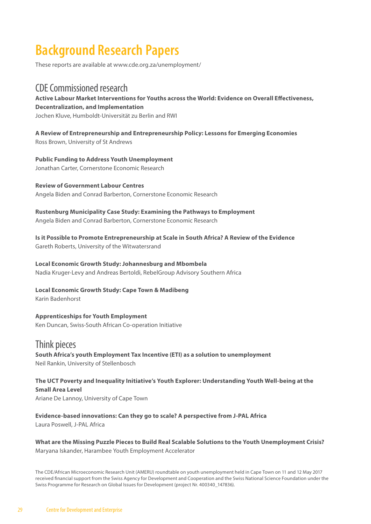### **Background Research Papers**

These reports are available at www.cde.org.za/unemployment/

#### CDE Commissioned research

**Active Labour Market Interventions for Youths across the World: Evidence on Overall Effectiveness, Decentralization, and Implementation** Jochen Kluve, Humboldt-Universität zu Berlin and RWI

**A Review of Entrepreneurship and Entrepreneurship Policy: Lessons for Emerging Economies** Ross Brown, University of St Andrews

**Public Funding to Address Youth Unemployment** Jonathan Carter, Cornerstone Economic Research

**Review of Government Labour Centres** Angela Biden and Conrad Barberton, Cornerstone Economic Research

**Rustenburg Municipality Case Study: Examining the Pathways to Employment** Angela Biden and Conrad Barberton, Cornerstone Economic Research

**Is it Possible to Promote Entrepreneurship at Scale in South Africa? A Review of the Evidence** Gareth Roberts, University of the Witwatersrand

**Local Economic Growth Study: Johannesburg and Mbombela**

Nadia Kruger-Levy and Andreas Bertoldi, RebelGroup Advisory Southern Africa

**Local Economic Growth Study: Cape Town & Madibeng** Karin Badenhorst

**Apprenticeships for Youth Employment** Ken Duncan, Swiss-South African Co-operation Initiative

Think pieces **South Africa's youth Employment Tax Incentive (ETI) as a solution to unemployment** Neil Rankin, University of Stellenbosch

**The UCT Poverty and Inequality Initiative's Youth Explorer: Understanding Youth Well-being at the Small Area Level** Ariane De Lannoy, University of Cape Town

**Evidence-based innovations: Can they go to scale? A perspective from J-PAL Africa** Laura Poswell, J-PAL Africa

**What are the Missing Puzzle Pieces to Build Real Scalable Solutions to the Youth Unemployment Crisis?** Maryana Iskander, Harambee Youth Employment Accelerator

The CDE/African Microeconomic Research Unit (AMERU) roundtable on youth unemployment held in Cape Town on 11 and 12 May 2017 received financial support from the Swiss Agency for Development and Cooperation and the Swiss National Science Foundation under the Swiss Programme for Research on Global Issues for Development (project Nr. 400340\_147836).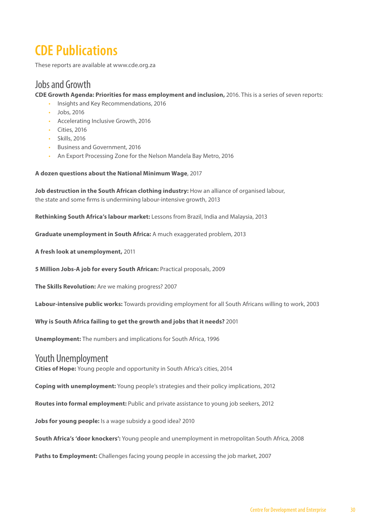### **CDE Publications**

These reports are available at www.cde.org.za

#### Jobs and Growth

**CDE Growth Agenda: Priorities for mass employment and inclusion,** 2016. This is a series of seven reports:

- Insights and Key Recommendations, 2016
- Jobs, 2016
- Accelerating Inclusive Growth, 2016
- Cities, 2016
- Skills, 2016
- Business and Government, 2016
- An Export Processing Zone for the Nelson Mandela Bay Metro, 2016

#### **A dozen questions about the National Minimum Wage**, 2017

Job destruction in the South African clothing industry: How an alliance of organised labour, the state and some firms is undermining labour-intensive growth, 2013

**Rethinking South Africa's labour market:** Lessons from Brazil, India and Malaysia, 2013

**Graduate unemployment in South Africa:** A much exaggerated problem, 2013

**A fresh look at unemployment,** 2011

**5 Million Jobs-A job for every South African:** Practical proposals, 2009

**The Skills Revolution:** Are we making progress? 2007

**Labour-intensive public works:** Towards providing employment for all South Africans willing to work, 2003

**Why is South Africa failing to get the growth and jobs that it needs?** 2001

**Unemployment:** The numbers and implications for South Africa, 1996

#### Youth Unemployment

**Cities of Hope:** Young people and opportunity in South Africa's cities, 2014

**Coping with unemployment:** Young people's strategies and their policy implications, 2012

**Routes into formal employment:** Public and private assistance to young job seekers, 2012

**Jobs for young people:** Is a wage subsidy a good idea? 2010

**South Africa's 'door knockers':** Young people and unemployment in metropolitan South Africa, 2008

**Paths to Employment:** Challenges facing young people in accessing the job market, 2007